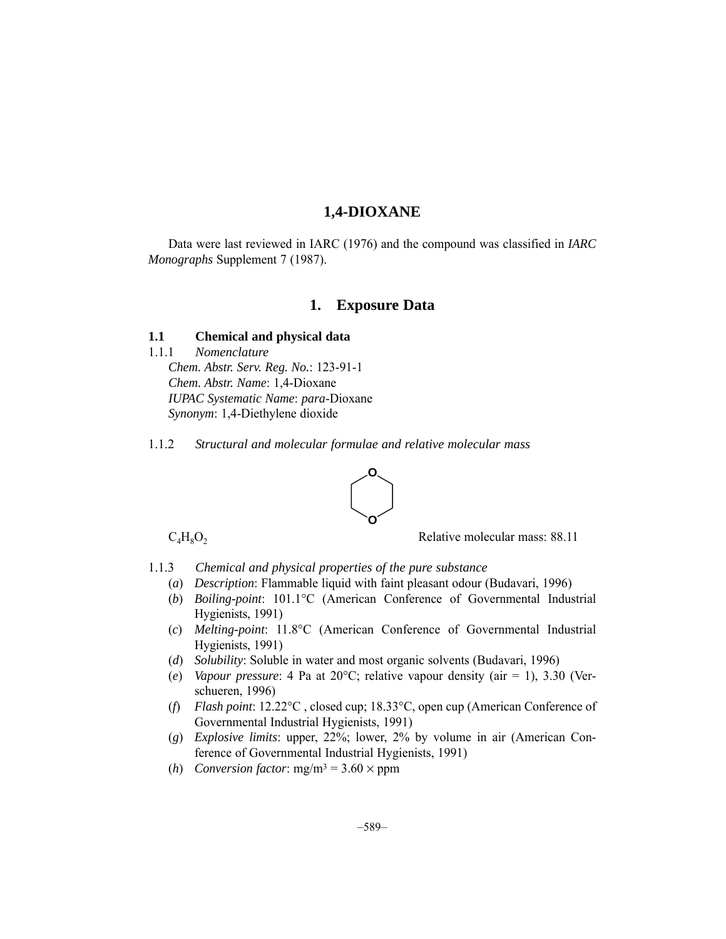# **1,4-DIOXANE**

Data were last reviewed in IARC (1976) and the compound was classified in *IARC Monographs* Supplement 7 (1987).

# **1. Exposure Data**

## **1.1 Chemical and physical data**

1.1.1 *Nomenclature*

*Chem. Abstr. Serv. Reg. No.*: 123-91-1 *Chem. Abstr. Name*: 1,4-Dioxane *IUPAC Systematic Name*: *para*-Dioxane *Synonym*: 1,4-Diethylene dioxide

1.1.2 *Structural and molecular formulae and relative molecular mass*



 $C_4H_8O_2$  Relative molecular mass: 88.11

- 1.1.3 *Chemical and physical properties of the pure substance*
	- (*a*) *Description*: Flammable liquid with faint pleasant odour (Budavari, 1996)
	- (*b*) *Boiling-point*: 101.1°C (American Conference of Governmental Industrial Hygienists, 1991)
	- (*c*) *Melting-point*: 11.8°C (American Conference of Governmental Industrial Hygienists, 1991)
	- (*d*) *Solubility*: Soluble in water and most organic solvents (Budavari, 1996)
	- (*e*) *Vapour pressure*: 4 Pa at 20°C; relative vapour density (air = 1), 3.30 (Verschueren, 1996)
	- (*f*) *Flash point*: 12.22°C , closed cup; 18.33°C, open cup (American Conference of Governmental Industrial Hygienists, 1991)
	- (*g*) *Explosive limits*: upper, 22%; lower, 2% by volume in air (American Conference of Governmental Industrial Hygienists, 1991)
	- (*h*) *Conversion factor*:  $mg/m^3 = 3.60 \times ppm$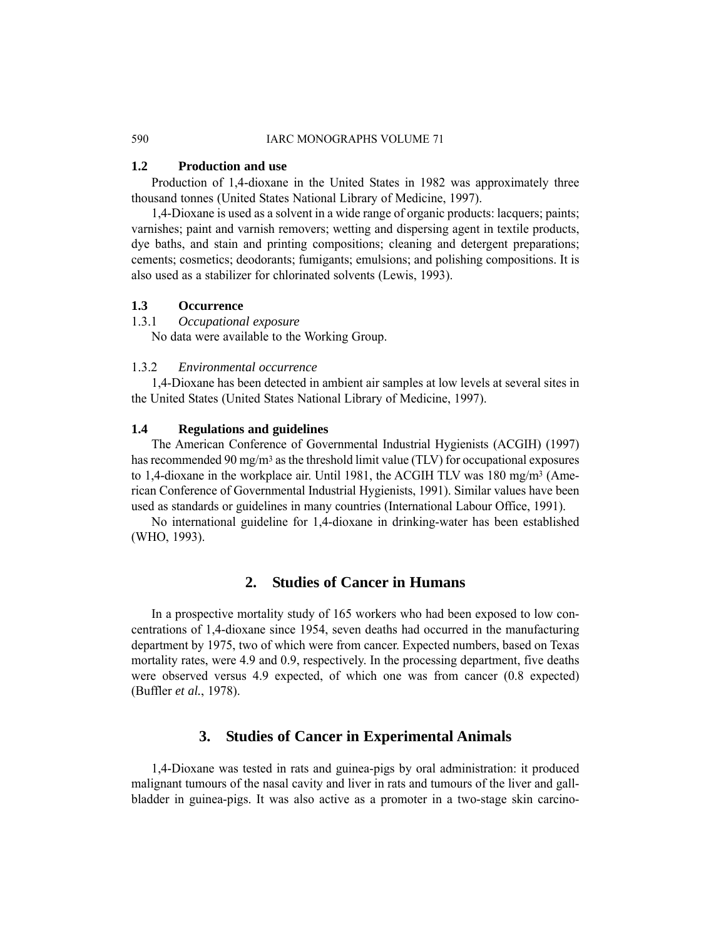#### 590 IARC MONOGRAPHS VOLUME 71

## **1.2 Production and use**

Production of 1,4-dioxane in the United States in 1982 was approximately three thousand tonnes (United States National Library of Medicine, 1997).

1,4-Dioxane is used as a solvent in a wide range of organic products: lacquers; paints; varnishes; paint and varnish removers; wetting and dispersing agent in textile products, dye baths, and stain and printing compositions; cleaning and detergent preparations; cements; cosmetics; deodorants; fumigants; emulsions; and polishing compositions. It is also used as a stabilizer for chlorinated solvents (Lewis, 1993).

# **1.3 Occurrence**

1.3.1 *Occupational exposure*

No data were available to the Working Group.

## 1.3.2 *Environmental occurrence*

1,4-Dioxane has been detected in ambient air samples at low levels at several sites in the United States (United States National Library of Medicine, 1997).

### **1.4 Regulations and guidelines**

The American Conference of Governmental Industrial Hygienists (ACGIH) (1997) has recommended 90 mg/m<sup>3</sup> as the threshold limit value (TLV) for occupational exposures to 1,4-dioxane in the workplace air. Until 1981, the ACGIH TLV was 180 mg/m3 (American Conference of Governmental Industrial Hygienists, 1991). Similar values have been used as standards or guidelines in many countries (International Labour Office, 1991).

No international guideline for 1,4-dioxane in drinking-water has been established (WHO, 1993).

# **2. Studies of Cancer in Humans**

In a prospective mortality study of 165 workers who had been exposed to low concentrations of 1,4-dioxane since 1954, seven deaths had occurred in the manufacturing department by 1975, two of which were from cancer. Expected numbers, based on Texas mortality rates, were 4.9 and 0.9, respectively. In the processing department, five deaths were observed versus 4.9 expected, of which one was from cancer (0.8 expected) (Buffler *et al.*, 1978).

# **3. Studies of Cancer in Experimental Animals**

1,4-Dioxane was tested in rats and guinea-pigs by oral administration: it produced malignant tumours of the nasal cavity and liver in rats and tumours of the liver and gallbladder in guinea-pigs. It was also active as a promoter in a two-stage skin carcino-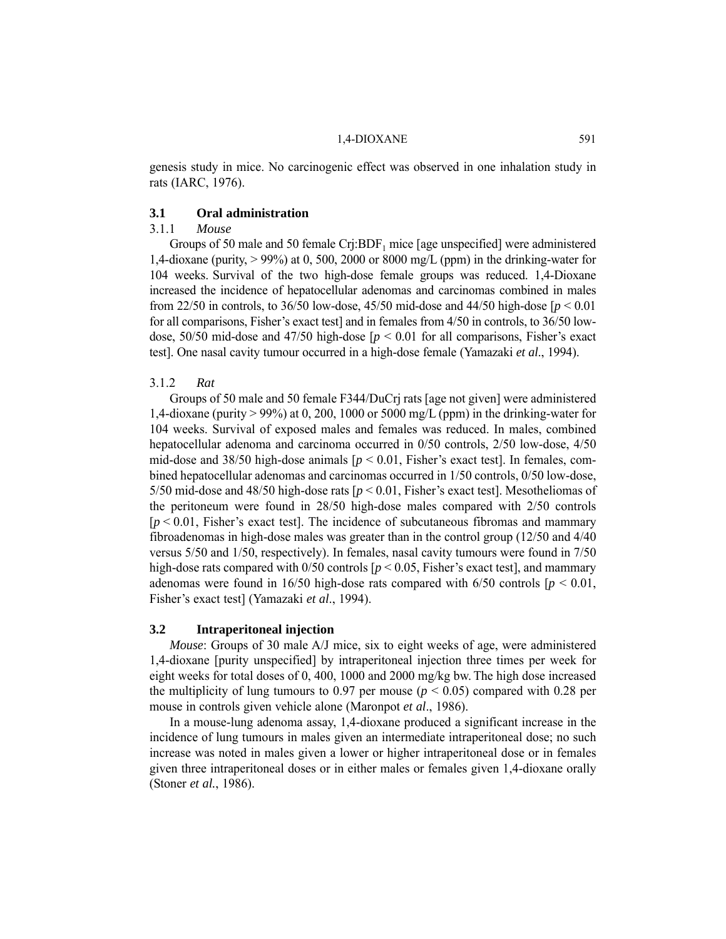#### 1.4-DIOXANE 591

genesis study in mice. No carcinogenic effect was observed in one inhalation study in rats (IARC, 1976).

## **3.1 Oral administration**

## 3.1.1 *Mouse*

Groups of 50 male and 50 female  $Cr$ *j*: $BDF_1$  mice [age unspecified] were administered 1,4-dioxane (purity,  $> 99\%$ ) at 0, 500, 2000 or 8000 mg/L (ppm) in the drinking-water for 104 weeks. Survival of the two high-dose female groups was reduced. 1,4-Dioxane increased the incidence of hepatocellular adenomas and carcinomas combined in males from 22/50 in controls, to 36/50 low-dose, 45/50 mid-dose and 44/50 high-dose [*p* < 0.01 for all comparisons, Fisher's exact test] and in females from  $4/50$  in controls, to  $36/50$  lowdose, 50/50 mid-dose and 47/50 high-dose [*p* < 0.01 for all comparisons, Fisher's exact test]. One nasal cavity tumour occurred in a high-dose female (Yamazaki *et al*., 1994).

#### 3.1.2 *Rat*

Groups of 50 male and 50 female F344/DuCrj rats [age not given] were administered 1,4-dioxane (purity > 99%) at 0, 200, 1000 or 5000 mg/L (ppm) in the drinking-water for 104 weeks. Survival of exposed males and females was reduced. In males, combined hepatocellular adenoma and carcinoma occurred in 0/50 controls, 2/50 low-dose, 4/50 mid-dose and  $38/50$  high-dose animals  $[p \le 0.01]$ , Fisher's exact test. In females, combined hepatocellular adenomas and carcinomas occurred in 1/50 controls, 0/50 low-dose, 5/50 mid-dose and 48/50 high-dose rats  $[p < 0.01]$ , Fisher's exact test. Mesotheliomas of the peritoneum were found in 28/50 high-dose males compared with 2/50 controls  $[p < 0.01]$ , Fisher's exact test. The incidence of subcutaneous fibromas and mammary fibroadenomas in high-dose males was greater than in the control group (12/50 and 4/40 versus 5/50 and 1/50, respectively). In females, nasal cavity tumours were found in 7/50 high-dose rats compared with  $0/50$  controls  $[p < 0.05]$ , Fisher's exact test, and mammary adenomas were found in 16/50 high-dose rats compared with  $6/50$  controls  $[p < 0.01]$ , Fisher's exact test] (Yamazaki *et al*., 1994).

## **3.2 Intraperitoneal injection**

*Mouse*: Groups of 30 male A/J mice, six to eight weeks of age, were administered 1,4-dioxane [purity unspecified] by intraperitoneal injection three times per week for eight weeks for total doses of 0, 400, 1000 and 2000 mg/kg bw. The high dose increased the multiplicity of lung tumours to 0.97 per mouse ( $p < 0.05$ ) compared with 0.28 per mouse in controls given vehicle alone (Maronpot *et al*., 1986).

In a mouse-lung adenoma assay, 1,4-dioxane produced a significant increase in the incidence of lung tumours in males given an intermediate intraperitoneal dose; no such increase was noted in males given a lower or higher intraperitoneal dose or in females given three intraperitoneal doses or in either males or females given 1,4-dioxane orally (Stoner *et al.*, 1986).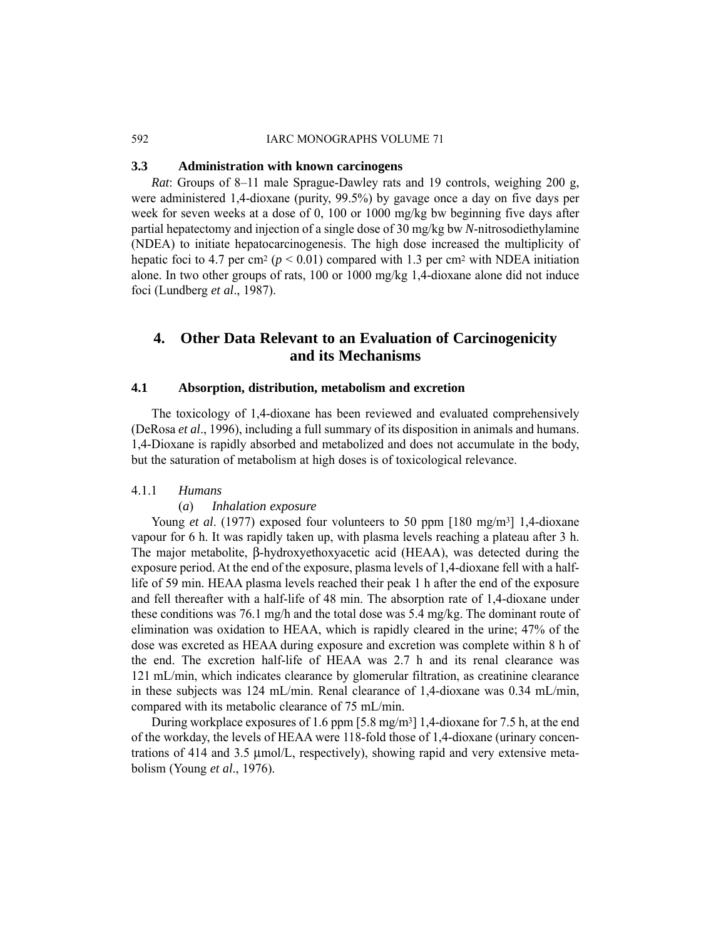## 592 IARC MONOGRAPHS VOLUME 71

## **3.3 Administration with known carcinogens**

*Rat*: Groups of 8–11 male Sprague-Dawley rats and 19 controls, weighing 200 g, were administered 1,4-dioxane (purity, 99.5%) by gavage once a day on five days per week for seven weeks at a dose of 0, 100 or 1000 mg/kg bw beginning five days after partial hepatectomy and injection of a single dose of 30 mg/kg bw *N*-nitrosodiethylamine (NDEA) to initiate hepatocarcinogenesis. The high dose increased the multiplicity of hepatic foci to 4.7 per cm<sup>2</sup> ( $p < 0.01$ ) compared with 1.3 per cm<sup>2</sup> with NDEA initiation alone. In two other groups of rats, 100 or 1000 mg/kg 1,4-dioxane alone did not induce foci (Lundberg *et al*., 1987).

# **4. Other Data Relevant to an Evaluation of Carcinogenicity and its Mechanisms**

## **4.1 Absorption, distribution, metabolism and excretion**

The toxicology of 1,4-dioxane has been reviewed and evaluated comprehensively (DeRosa *et al*., 1996), including a full summary of its disposition in animals and humans. 1,4-Dioxane is rapidly absorbed and metabolized and does not accumulate in the body, but the saturation of metabolism at high doses is of toxicological relevance.

#### 4.1.1 *Humans*

#### (*a*) *Inhalation exposure*

Young *et al.* (1977) exposed four volunteers to 50 ppm [180 mg/m<sup>3</sup>] 1,4-dioxane vapour for 6 h. It was rapidly taken up, with plasma levels reaching a plateau after 3 h. The major metabolite, β-hydroxyethoxyacetic acid (HEAA), was detected during the exposure period. At the end of the exposure, plasma levels of 1,4-dioxane fell with a halflife of 59 min. HEAA plasma levels reached their peak 1 h after the end of the exposure and fell thereafter with a half-life of 48 min. The absorption rate of 1,4-dioxane under these conditions was 76.1 mg/h and the total dose was 5.4 mg/kg. The dominant route of elimination was oxidation to HEAA, which is rapidly cleared in the urine; 47% of the dose was excreted as HEAA during exposure and excretion was complete within 8 h of the end. The excretion half-life of HEAA was 2.7 h and its renal clearance was 121 mL/min, which indicates clearance by glomerular filtration, as creatinine clearance in these subjects was 124 mL/min. Renal clearance of 1,4-dioxane was 0.34 mL/min, compared with its metabolic clearance of 75 mL/min.

During workplace exposures of 1.6 ppm  $[5.8 \text{ mg/m}^3]$  1,4-dioxane for 7.5 h, at the end of the workday, the levels of HEAA were 118-fold those of 1,4-dioxane (urinary concentrations of 414 and 3.5 μmol/L, respectively), showing rapid and very extensive metabolism (Young *et al*., 1976).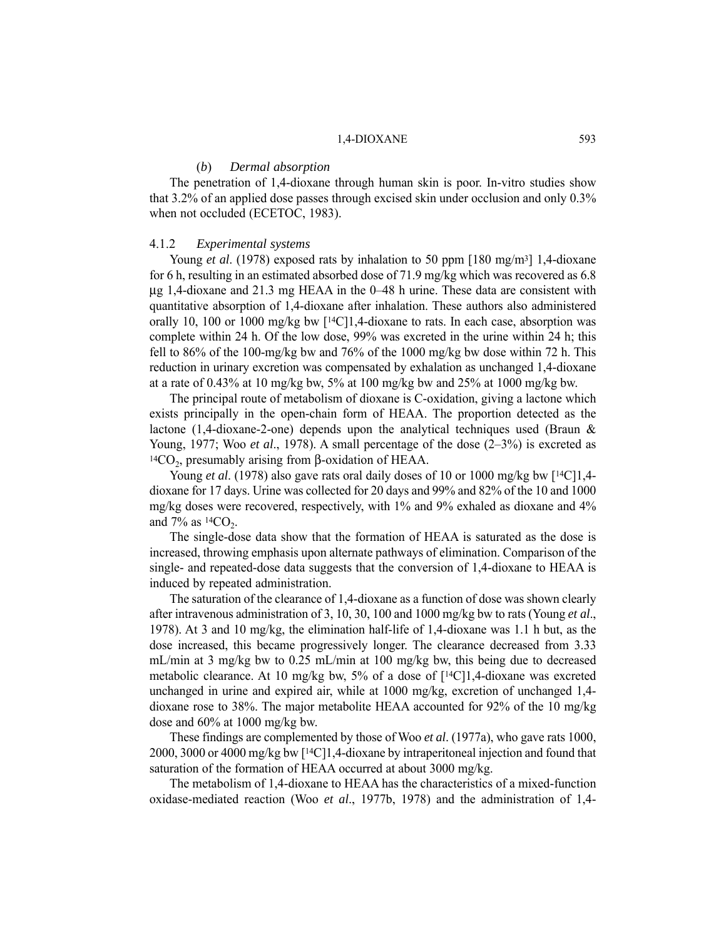#### 1,4-DIOXANE 593

#### (*b*) *Dermal absorption*

The penetration of 1,4-dioxane through human skin is poor. In-vitro studies show that 3.2% of an applied dose passes through excised skin under occlusion and only 0.3% when not occluded (ECETOC, 1983).

#### 4.1.2 *Experimental systems*

Young *et al.* (1978) exposed rats by inhalation to 50 ppm [180 mg/m<sup>3</sup>] 1,4-dioxane for 6 h, resulting in an estimated absorbed dose of 71.9 mg/kg which was recovered as 6.8 μg 1,4-dioxane and 21.3 mg HEAA in the 0–48 h urine. These data are consistent with quantitative absorption of 1,4-dioxane after inhalation. These authors also administered orally 10, 100 or 1000 mg/kg bw  $[14C]1,4$ -dioxane to rats. In each case, absorption was complete within 24 h. Of the low dose, 99% was excreted in the urine within 24 h; this fell to 86% of the 100-mg/kg bw and 76% of the 1000 mg/kg bw dose within 72 h. This reduction in urinary excretion was compensated by exhalation as unchanged 1,4-dioxane at a rate of 0.43% at 10 mg/kg bw, 5% at 100 mg/kg bw and 25% at 1000 mg/kg bw.

The principal route of metabolism of dioxane is C-oxidation, giving a lactone which exists principally in the open-chain form of HEAA. The proportion detected as the lactone (1,4-dioxane-2-one) depends upon the analytical techniques used (Braun & Young, 1977; Woo *et al*., 1978). A small percentage of the dose (2–3%) is excreted as  $14CO<sub>2</sub>$ , presumably arising from β-oxidation of HEAA.

Young *et al.* (1978) also gave rats oral daily doses of 10 or 1000 mg/kg bw [<sup>14</sup>C]1,4dioxane for 17 days. Urine was collected for 20 days and 99% and 82% of the 10 and 1000 mg/kg doses were recovered, respectively, with 1% and 9% exhaled as dioxane and 4% and  $7\%$  as  $14CO<sub>2</sub>$ .

The single-dose data show that the formation of HEAA is saturated as the dose is increased, throwing emphasis upon alternate pathways of elimination. Comparison of the single- and repeated-dose data suggests that the conversion of 1,4-dioxane to HEAA is induced by repeated administration.

The saturation of the clearance of 1,4-dioxane as a function of dose was shown clearly after intravenous administration of 3, 10, 30, 100 and 1000 mg/kg bw to rats (Young *et al*., 1978). At 3 and 10 mg/kg, the elimination half-life of 1,4-dioxane was 1.1 h but, as the dose increased, this became progressively longer. The clearance decreased from 3.33 mL/min at 3 mg/kg bw to 0.25 mL/min at 100 mg/kg bw, this being due to decreased metabolic clearance. At 10 mg/kg bw, 5% of a dose of  $[14C]1,4$ -dioxane was excreted unchanged in urine and expired air, while at 1000 mg/kg, excretion of unchanged 1,4 dioxane rose to 38%. The major metabolite HEAA accounted for 92% of the 10 mg/kg dose and 60% at 1000 mg/kg bw.

These findings are complemented by those of Woo *et al*. (1977a), who gave rats 1000, 2000, 3000 or 4000 mg/kg bw [14C]1,4-dioxane by intraperitoneal injection and found that saturation of the formation of HEAA occurred at about 3000 mg/kg.

The metabolism of 1,4-dioxane to HEAA has the characteristics of a mixed-function oxidase-mediated reaction (Woo *et al*., 1977b, 1978) and the administration of 1,4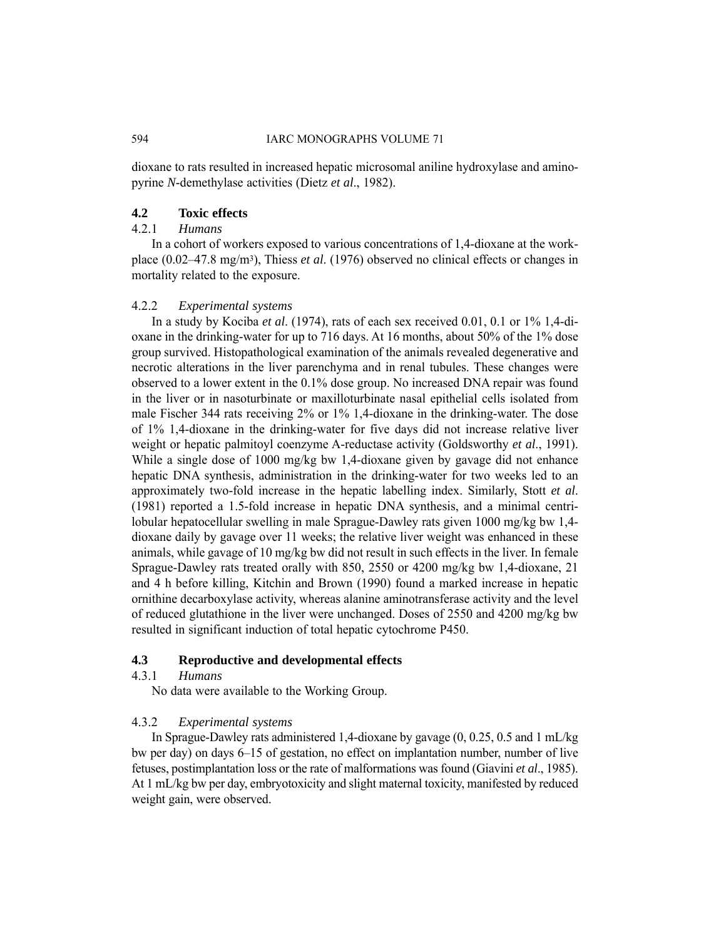dioxane to rats resulted in increased hepatic microsomal aniline hydroxylase and aminopyrine *N*-demethylase activities (Dietz *et al*., 1982).

### **4.2 Toxic effects**

## 4.2.1 *Humans*

In a cohort of workers exposed to various concentrations of 1,4-dioxane at the workplace (0.02–47.8 mg/m3), Thiess *et al*. (1976) observed no clinical effects or changes in mortality related to the exposure.

## 4.2.2 *Experimental systems*

In a study by Kociba *et al*. (1974), rats of each sex received 0.01, 0.1 or 1% 1,4-dioxane in the drinking-water for up to 716 days. At 16 months, about 50% of the 1% dose group survived. Histopathological examination of the animals revealed degenerative and necrotic alterations in the liver parenchyma and in renal tubules. These changes were observed to a lower extent in the 0.1% dose group. No increased DNA repair was found in the liver or in nasoturbinate or maxilloturbinate nasal epithelial cells isolated from male Fischer 344 rats receiving 2% or 1% 1,4-dioxane in the drinking-water. The dose of 1% 1,4-dioxane in the drinking-water for five days did not increase relative liver weight or hepatic palmitoyl coenzyme A-reductase activity (Goldsworthy *et al*., 1991). While a single dose of 1000 mg/kg bw 1,4-dioxane given by gavage did not enhance hepatic DNA synthesis, administration in the drinking-water for two weeks led to an approximately two-fold increase in the hepatic labelling index. Similarly, Stott *et al*. (1981) reported a 1.5-fold increase in hepatic DNA synthesis, and a minimal centrilobular hepatocellular swelling in male Sprague-Dawley rats given 1000 mg/kg bw 1,4 dioxane daily by gavage over 11 weeks; the relative liver weight was enhanced in these animals, while gavage of 10 mg/kg bw did not result in such effects in the liver. In female Sprague-Dawley rats treated orally with 850, 2550 or 4200 mg/kg bw 1,4-dioxane, 21 and 4 h before killing, Kitchin and Brown (1990) found a marked increase in hepatic ornithine decarboxylase activity, whereas alanine aminotransferase activity and the level of reduced glutathione in the liver were unchanged. Doses of 2550 and 4200 mg/kg bw resulted in significant induction of total hepatic cytochrome P450.

## **4.3 Reproductive and developmental effects**

## 4.3.1 *Humans*

No data were available to the Working Group.

## 4.3.2 *Experimental systems*

In Sprague-Dawley rats administered 1,4-dioxane by gavage (0, 0.25, 0.5 and 1 mL/kg bw per day) on days 6–15 of gestation, no effect on implantation number, number of live fetuses, postimplantation loss or the rate of malformations was found (Giavini *et al*., 1985). At 1 mL/kg bw per day, embryotoxicity and slight maternal toxicity, manifested by reduced weight gain, were observed.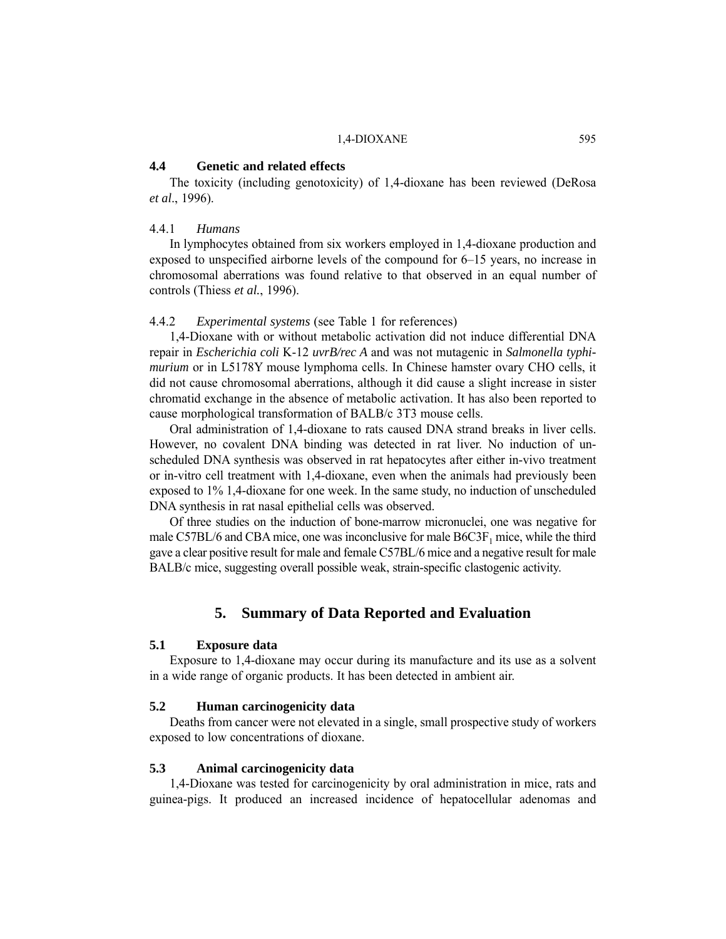#### 1.4-DIOXANE 595

#### **4.4 Genetic and related effects**

The toxicity (including genotoxicity) of 1,4-dioxane has been reviewed (DeRosa *et al*., 1996).

## 4.4.1 *Humans*

In lymphocytes obtained from six workers employed in 1,4-dioxane production and exposed to unspecified airborne levels of the compound for 6–15 years, no increase in chromosomal aberrations was found relative to that observed in an equal number of controls (Thiess *et al.*, 1996).

## 4.4.2 *Experimental systems* (see Table 1 for references)

1,4-Dioxane with or without metabolic activation did not induce differential DNA repair in *Escherichia coli* K-12 *uvrB/rec A* and was not mutagenic in *Salmonella typhimurium* or in L5178Y mouse lymphoma cells. In Chinese hamster ovary CHO cells, it did not cause chromosomal aberrations, although it did cause a slight increase in sister chromatid exchange in the absence of metabolic activation. It has also been reported to cause morphological transformation of BALB/c 3T3 mouse cells.

Oral administration of 1,4-dioxane to rats caused DNA strand breaks in liver cells. However, no covalent DNA binding was detected in rat liver. No induction of unscheduled DNA synthesis was observed in rat hepatocytes after either in-vivo treatment or in-vitro cell treatment with 1,4-dioxane, even when the animals had previously been exposed to 1% 1,4-dioxane for one week. In the same study, no induction of unscheduled DNA synthesis in rat nasal epithelial cells was observed.

Of three studies on the induction of bone-marrow micronuclei, one was negative for male C57BL/6 and CBA mice, one was inconclusive for male  $B6C3F<sub>1</sub>$  mice, while the third gave a clear positive result for male and female C57BL/6 mice and a negative result for male BALB/c mice, suggesting overall possible weak, strain-specific clastogenic activity.

## **5. Summary of Data Reported and Evaluation**

## **5.1 Exposure data**

Exposure to 1,4-dioxane may occur during its manufacture and its use as a solvent in a wide range of organic products. It has been detected in ambient air.

## **5.2 Human carcinogenicity data**

Deaths from cancer were not elevated in a single, small prospective study of workers exposed to low concentrations of dioxane.

#### **5.3 Animal carcinogenicity data**

1,4-Dioxane was tested for carcinogenicity by oral administration in mice, rats and guinea-pigs. It produced an increased incidence of hepatocellular adenomas and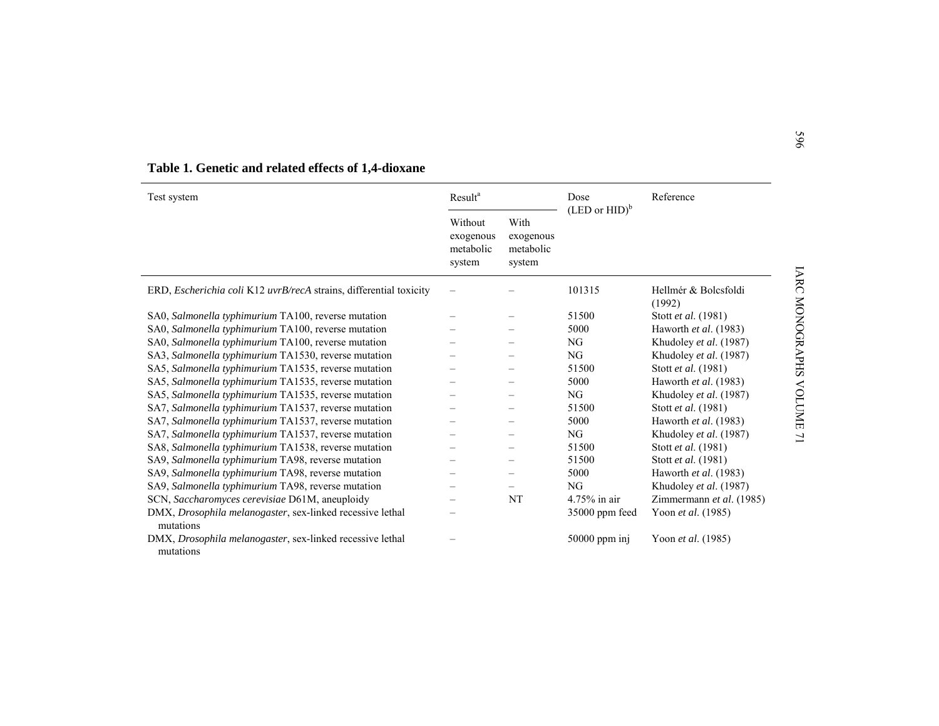| Test system                                                                    | Result <sup>a</sup>                         |                                          | Dose                      | Reference                      |
|--------------------------------------------------------------------------------|---------------------------------------------|------------------------------------------|---------------------------|--------------------------------|
|                                                                                | Without<br>exogenous<br>metabolic<br>system | With<br>exogenous<br>metabolic<br>system | $(LED \text{ or } HID)^b$ |                                |
| ERD, Escherichia coli K12 uvrB/recA strains, differential toxicity             |                                             |                                          | 101315                    | Hellmér & Bolcsfoldi<br>(1992) |
| SA0, Salmonella typhimurium TA100, reverse mutation                            |                                             |                                          | 51500                     | Stott et al. (1981)            |
| SA0, Salmonella typhimurium TA100, reverse mutation                            |                                             |                                          | 5000                      | Haworth et al. (1983)          |
| SA0, Salmonella typhimurium TA100, reverse mutation                            |                                             |                                          | NG                        | Khudoley et al. (1987)         |
| SA3, Salmonella typhimurium TA1530, reverse mutation                           |                                             |                                          | NG                        | Khudoley et al. (1987)         |
| SA5, Salmonella typhimurium TA1535, reverse mutation                           |                                             |                                          | 51500                     | Stott et al. (1981)            |
| SA5, Salmonella typhimurium TA1535, reverse mutation                           |                                             |                                          | 5000                      | Haworth et al. (1983)          |
| SA5, Salmonella typhimurium TA1535, reverse mutation                           |                                             |                                          | NG                        | Khudoley et al. (1987)         |
| SA7, Salmonella typhimurium TA1537, reverse mutation                           |                                             |                                          | 51500                     | Stott et al. (1981)            |
| SA7, Salmonella typhimurium TA1537, reverse mutation                           |                                             |                                          | 5000                      | Haworth et al. (1983)          |
| SA7, Salmonella typhimurium TA1537, reverse mutation                           |                                             |                                          | NG                        | Khudoley et al. (1987)         |
| SA8, Salmonella typhimurium TA1538, reverse mutation                           |                                             |                                          | 51500                     | Stott et al. (1981)            |
| SA9, Salmonella typhimurium TA98, reverse mutation                             |                                             |                                          | 51500                     | Stott et al. (1981)            |
| SA9, Salmonella typhimurium TA98, reverse mutation                             |                                             |                                          | 5000                      | Haworth et al. (1983)          |
| SA9, Salmonella typhimurium TA98, reverse mutation                             |                                             |                                          | NG                        | Khudoley et al. (1987)         |
| SCN, Saccharomyces cerevisiae D61M, aneuploidy                                 |                                             | NT                                       | $4.75\%$ in air           | Zimmermann et al. (1985)       |
| DMX, Drosophila melanogaster, sex-linked recessive lethal<br>mutations         |                                             |                                          | 35000 ppm feed            | Yoon et al. (1985)             |
| DMX, <i>Drosophila melanogaster</i> , sex-linked recessive lethal<br>mutations |                                             |                                          | 50000 ppm inj             | Yoon et al. (1985)             |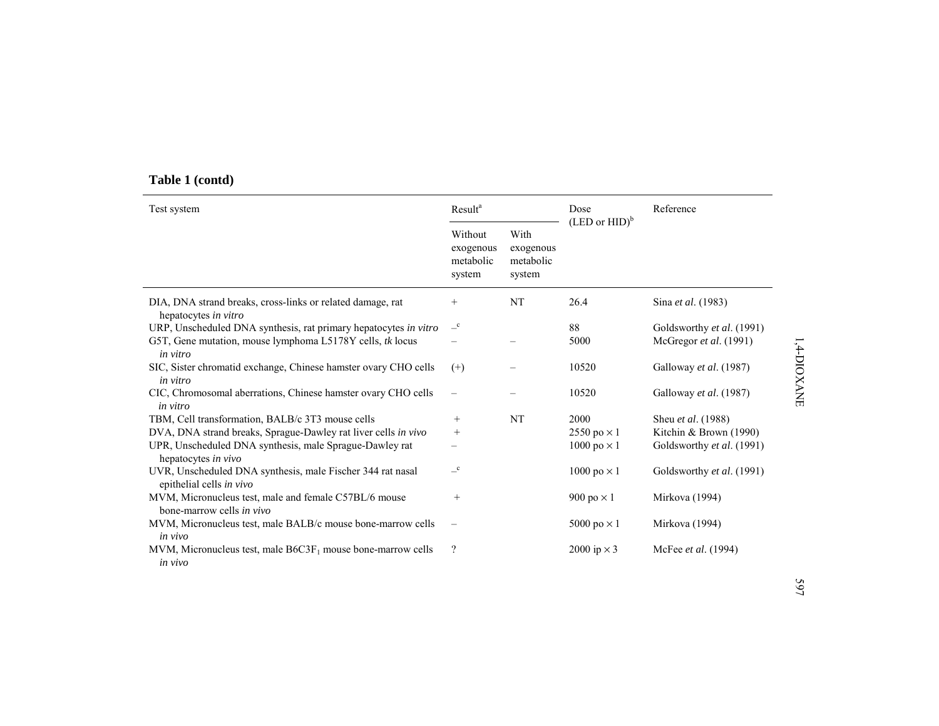# **Table 1 (contd)**

| Test system                                                                            | Result <sup>a</sup><br>Reference<br>Dose<br>$(LED \text{ or } HID)^b$ |                                          |                    |                            |
|----------------------------------------------------------------------------------------|-----------------------------------------------------------------------|------------------------------------------|--------------------|----------------------------|
|                                                                                        | Without<br>exogenous<br>metabolic<br>system                           | With<br>exogenous<br>metabolic<br>system |                    |                            |
| DIA, DNA strand breaks, cross-links or related damage, rat<br>hepatocytes in vitro     | $^+$                                                                  | <b>NT</b>                                | 26.4               | Sina et al. (1983)         |
| URP, Unscheduled DNA synthesis, rat primary hepatocytes in vitro                       | $\overline{-}^{\rm c}$                                                |                                          | 88                 | Goldsworthy et al. (1991)  |
| G5T, Gene mutation, mouse lymphoma L5178Y cells, tk locus<br><i>in vitro</i>           |                                                                       |                                          | 5000               | McGregor et al. (1991)     |
| SIC, Sister chromatid exchange, Chinese hamster ovary CHO cells<br>in vitro            | $^{(+)}$                                                              |                                          | 10520              | Galloway et al. (1987)     |
| CIC, Chromosomal aberrations, Chinese hamster ovary CHO cells<br>in vitro              | $\qquad \qquad -$                                                     |                                          | 10520              | Galloway et al. (1987)     |
| TBM, Cell transformation, BALB/c 3T3 mouse cells                                       | $^{+}$                                                                | <b>NT</b>                                | 2000               | Sheu <i>et al.</i> (1988)  |
| DVA, DNA strand breaks, Sprague-Dawley rat liver cells in vivo                         | $^{+}$                                                                |                                          | 2550 po $\times$ 1 | Kitchin & Brown (1990)     |
| UPR, Unscheduled DNA synthesis, male Sprague-Dawley rat<br>hepatocytes in vivo         |                                                                       |                                          | 1000 po $\times$ 1 | Goldsworthy et al. (1991)  |
| UVR, Unscheduled DNA synthesis, male Fischer 344 rat nasal<br>epithelial cells in vivo | $\overline{-}^c$                                                      |                                          | 1000 po $\times$ 1 | Goldsworthy et al. (1991)  |
| MVM, Micronucleus test, male and female C57BL/6 mouse<br>bone-marrow cells in vivo     | $\! + \!\!\!\!$                                                       |                                          | 900 po $\times$ 1  | Mirkova (1994)             |
| MVM, Micronucleus test, male BALB/c mouse bone-marrow cells<br>in vivo                 |                                                                       |                                          | 5000 po $\times$ 1 | Mirkova (1994)             |
| MVM, Micronucleus test, male $B6C3F_1$ mouse bone-marrow cells<br>in vivo              | $\overline{\mathcal{L}}$                                              |                                          | 2000 ip $\times$ 3 | McFee <i>et al.</i> (1994) |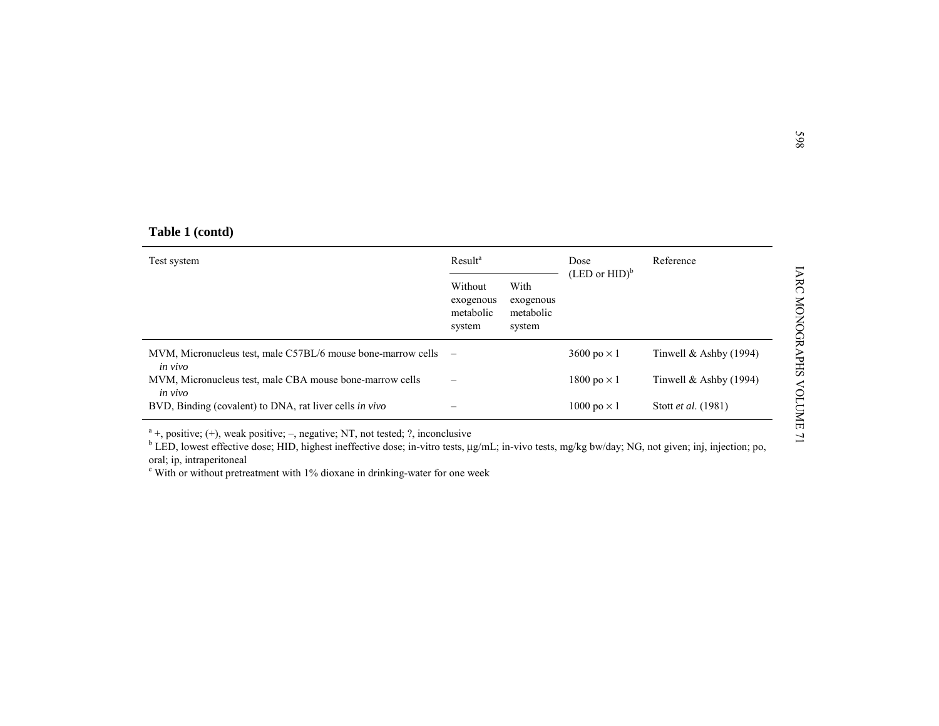|  | Table 1 (contd) |
|--|-----------------|
|  |                 |

| Table 1 (contd)                                                         |                                             |                                          |                           |                          |  |  |
|-------------------------------------------------------------------------|---------------------------------------------|------------------------------------------|---------------------------|--------------------------|--|--|
| Test system                                                             | Result <sup>a</sup>                         |                                          | Dose                      | Reference                |  |  |
|                                                                         | Without<br>exogenous<br>metabolic<br>system | With<br>exogenous<br>metabolic<br>system | $(LED \text{ or } HID)^b$ |                          |  |  |
| MVM, Micronucleus test, male C57BL/6 mouse bone-marrow cells<br>in vivo | $\overline{\phantom{0}}$                    |                                          | 3600 po $\times$ 1        | Tinwell $&$ Ashby (1994) |  |  |
| MVM, Micronucleus test, male CBA mouse bone-marrow cells<br>in vivo     |                                             |                                          | 1800 po $\times$ 1        | Tinwell $&$ Ashby (1994) |  |  |
| BVD, Binding (covalent) to DNA, rat liver cells in vivo                 |                                             |                                          | 1000 po $\times$ 1        | Stott et al. (1981)      |  |  |

oral; ip, intraperitoneal

 $\epsilon$  With or without pretreatment with 1% dioxane in drinking-water for one week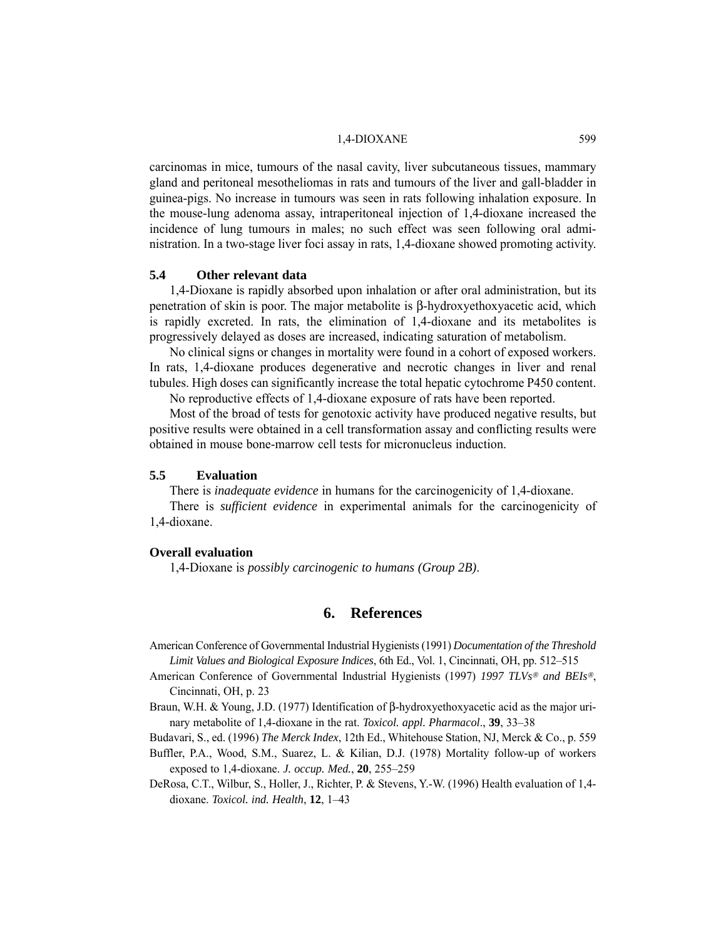#### 1.4-DIOXANE 599

carcinomas in mice, tumours of the nasal cavity, liver subcutaneous tissues, mammary gland and peritoneal mesotheliomas in rats and tumours of the liver and gall-bladder in guinea-pigs. No increase in tumours was seen in rats following inhalation exposure. In the mouse-lung adenoma assay, intraperitoneal injection of 1,4-dioxane increased the incidence of lung tumours in males; no such effect was seen following oral administration. In a two-stage liver foci assay in rats, 1,4-dioxane showed promoting activity.

## **5.4 Other relevant data**

1,4-Dioxane is rapidly absorbed upon inhalation or after oral administration, but its penetration of skin is poor. The major metabolite is β-hydroxyethoxyacetic acid, which is rapidly excreted. In rats, the elimination of 1,4-dioxane and its metabolites is progressively delayed as doses are increased, indicating saturation of metabolism.

No clinical signs or changes in mortality were found in a cohort of exposed workers. In rats, 1,4-dioxane produces degenerative and necrotic changes in liver and renal tubules. High doses can significantly increase the total hepatic cytochrome P450 content.

No reproductive effects of 1,4-dioxane exposure of rats have been reported.

Most of the broad of tests for genotoxic activity have produced negative results, but positive results were obtained in a cell transformation assay and conflicting results were obtained in mouse bone-marrow cell tests for micronucleus induction.

## **5.5 Evaluation**

There is *inadequate evidence* in humans for the carcinogenicity of 1,4-dioxane.

There is *sufficient evidence* in experimental animals for the carcinogenicity of 1,4-dioxane.

#### **Overall evaluation**

1,4-Dioxane is *possibly carcinogenic to humans (Group 2B)*.

# **6. References**

American Conference of Governmental Industrial Hygienists (1991) *Documentation of the Threshold Limit Values and Biological Exposure Indices*, 6th Ed., Vol. 1, Cincinnati, OH, pp. 512–515

- American Conference of Governmental Industrial Hygienists (1997) *1997 TLVs*® *and BEIs*®, Cincinnati, OH, p. 23
- Braun, W.H. & Young, J.D. (1977) Identification of β-hydroxyethoxyacetic acid as the major urinary metabolite of 1,4-dioxane in the rat. *Toxicol. appl. Pharmacol*., **39**, 33–38
- Budavari, S., ed. (1996) *The Merck Index*, 12th Ed., Whitehouse Station, NJ, Merck & Co., p. 559
- Buffler, P.A., Wood, S.M., Suarez, L. & Kilian, D.J. (1978) Mortality follow-up of workers exposed to 1,4-dioxane. *J. occup. Med.*, **20**, 255–259
- DeRosa, C.T., Wilbur, S., Holler, J., Richter, P. & Stevens, Y.-W. (1996) Health evaluation of 1,4 dioxane. *Toxicol. ind. Health*, **12**, 1–43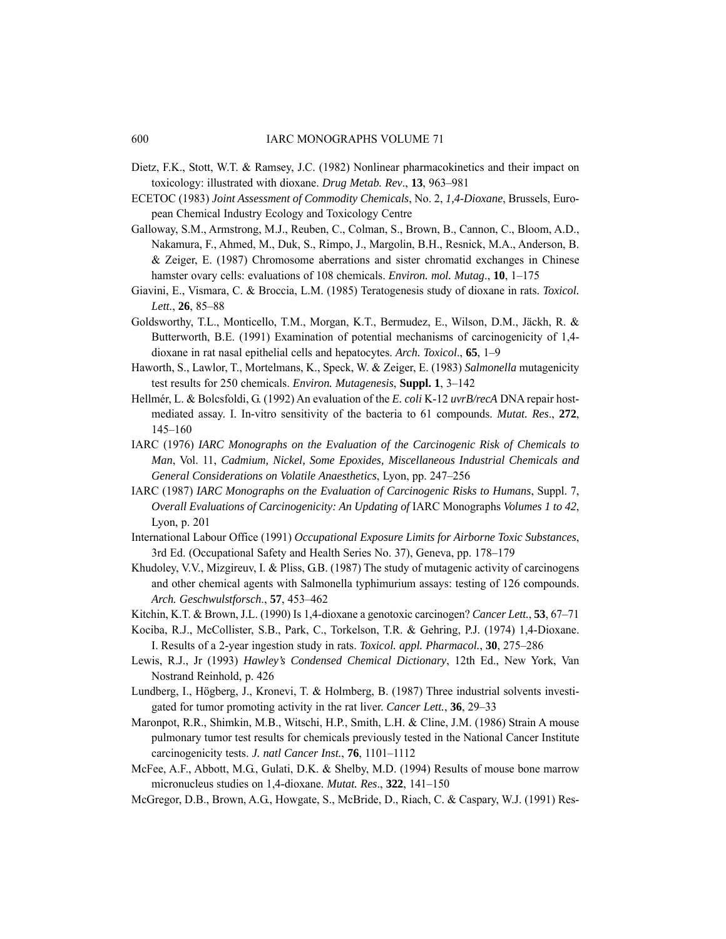- Dietz, F.K., Stott, W.T. & Ramsey, J.C. (1982) Nonlinear pharmacokinetics and their impact on toxicology: illustrated with dioxane. *Drug Metab. Rev*., **13**, 963–981
- ECETOC (1983) *Joint Assessment of Commodity Chemicals*, No. 2, *1,4-Dioxane*, Brussels, European Chemical Industry Ecology and Toxicology Centre
- Galloway, S.M., Armstrong, M.J., Reuben, C., Colman, S., Brown, B., Cannon, C., Bloom, A.D., Nakamura, F., Ahmed, M., Duk, S., Rimpo, J., Margolin, B.H., Resnick, M.A., Anderson, B. & Zeiger, E. (1987) Chromosome aberrations and sister chromatid exchanges in Chinese hamster ovary cells: evaluations of 108 chemicals. *Environ. mol. Mutag*., **10**, 1–175
- Giavini, E., Vismara, C. & Broccia, L.M. (1985) Teratogenesis study of dioxane in rats. *Toxicol. Lett.*, **26**, 85–88
- Goldsworthy, T.L., Monticello, T.M., Morgan, K.T., Bermudez, E., Wilson, D.M., Jäckh, R. & Butterworth, B.E. (1991) Examination of potential mechanisms of carcinogenicity of 1,4 dioxane in rat nasal epithelial cells and hepatocytes. *Arch. Toxicol*., **65**, 1–9
- Haworth, S., Lawlor, T., Mortelmans, K., Speck, W. & Zeiger, E. (1983) *Salmonella* mutagenicity test results for 250 chemicals. *Environ. Mutagenesis*, **Suppl. 1**, 3–142
- Hellmér, L. & Bolcsfoldi, G. (1992) An evaluation of the *E. coli* K-12 *uvrB/recA* DNA repair hostmediated assay. I. In-vitro sensitivity of the bacteria to 61 compounds. *Mutat. Res*., **272**, 145–160
- IARC (1976) *IARC Monographs on the Evaluation of the Carcinogenic Risk of Chemicals to Man*, Vol. 11, *Cadmium, Nickel, Some Epoxides, Miscellaneous Industrial Chemicals and General Considerations on Volatile Anaesthetics*, Lyon, pp. 247–256
- IARC (1987) *IARC Monographs on the Evaluation of Carcinogenic Risks to Humans*, Suppl. 7, *Overall Evaluations of Carcinogenicity: An Updating of* IARC Monographs *Volumes 1 to 42*, Lyon, p. 201
- International Labour Office (1991) *Occupational Exposure Limits for Airborne Toxic Substances*, 3rd Ed. (Occupational Safety and Health Series No. 37), Geneva, pp. 178–179
- Khudoley, V.V., Mizgireuv, I. & Pliss, G.B. (1987) The study of mutagenic activity of carcinogens and other chemical agents with Salmonella typhimurium assays: testing of 126 compounds. *Arch. Geschwulstforsch*., **57**, 453–462
- Kitchin, K.T. & Brown, J.L. (1990) Is 1,4-dioxane a genotoxic carcinogen? *Cancer Lett.*, **53**, 67–71
- Kociba, R.J., McCollister, S.B., Park, C., Torkelson, T.R. & Gehring, P.J. (1974) 1,4-Dioxane. I. Results of a 2-year ingestion study in rats. *Toxicol. appl. Pharmacol.*, **30**, 275–286
- Lewis, R.J., Jr (1993) *Hawley's Condensed Chemical Dictionary*, 12th Ed., New York, Van Nostrand Reinhold, p. 426
- Lundberg, I., Högberg, J., Kronevi, T. & Holmberg, B. (1987) Three industrial solvents investigated for tumor promoting activity in the rat liver. *Cancer Lett.*, **36**, 29–33
- Maronpot, R.R., Shimkin, M.B., Witschi, H.P., Smith, L.H. & Cline, J.M. (1986) Strain A mouse pulmonary tumor test results for chemicals previously tested in the National Cancer Institute carcinogenicity tests. *J. natl Cancer Inst.*, **76**, 1101–1112
- McFee, A.F., Abbott, M.G., Gulati, D.K. & Shelby, M.D. (1994) Results of mouse bone marrow micronucleus studies on 1,4-dioxane. *Mutat. Res*., **322**, 141–150
- McGregor, D.B., Brown, A.G., Howgate, S., McBride, D., Riach, C. & Caspary, W.J. (1991) Res-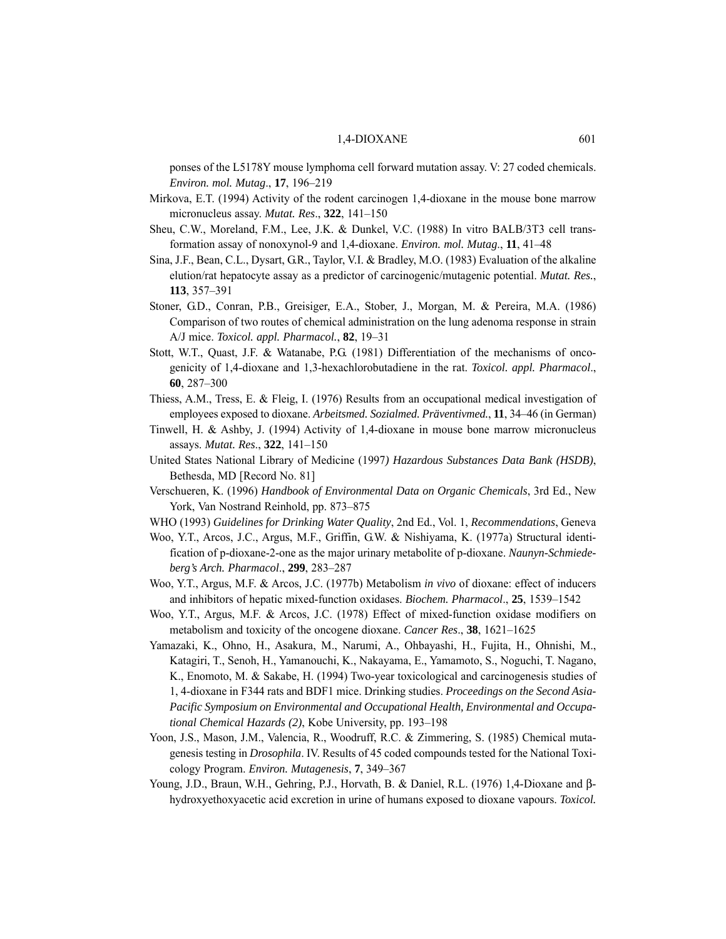#### 1,4-DIOXANE 601

ponses of the L5178Y mouse lymphoma cell forward mutation assay. V: 27 coded chemicals. *Environ. mol. Mutag*., **17**, 196–219

- Mirkova, E.T. (1994) Activity of the rodent carcinogen 1,4-dioxane in the mouse bone marrow micronucleus assay. *Mutat. Res*., **322**, 141–150
- Sheu, C.W., Moreland, F.M., Lee, J.K. & Dunkel, V.C. (1988) In vitro BALB/3T3 cell transformation assay of nonoxynol-9 and 1,4-dioxane. *Environ. mol. Mutag*., **11**, 41–48
- Sina, J.F., Bean, C.L., Dysart, G.R., Taylor, V.I. & Bradley, M.O. (1983) Evaluation of the alkaline elution/rat hepatocyte assay as a predictor of carcinogenic/mutagenic potential. *Mutat. Res.*, **113**, 357–391
- Stoner, G.D., Conran, P.B., Greisiger, E.A., Stober, J., Morgan, M. & Pereira, M.A. (1986) Comparison of two routes of chemical administration on the lung adenoma response in strain A/J mice. *Toxicol. appl. Pharmacol.*, **82**, 19–31
- Stott, W.T., Quast, J.F. & Watanabe, P.G. (1981) Differentiation of the mechanisms of oncogenicity of 1,4-dioxane and 1,3-hexachlorobutadiene in the rat. *Toxicol. appl. Pharmacol*., **60**, 287–300
- Thiess, A.M., Tress, E. & Fleig, I. (1976) Results from an occupational medical investigation of employees exposed to dioxane. *Arbeitsmed. Sozialmed. Präventivmed.*, **11**, 34–46 (in German)
- Tinwell, H. & Ashby, J. (1994) Activity of 1,4-dioxane in mouse bone marrow micronucleus assays. *Mutat. Res*., **322**, 141–150
- United States National Library of Medicine (1997*) Hazardous Substances Data Bank (HSDB)*, Bethesda, MD [Record No. 81]
- Verschueren, K. (1996) *Handbook of Environmental Data on Organic Chemicals*, 3rd Ed., New York, Van Nostrand Reinhold, pp. 873–875
- WHO (1993) *Guidelines for Drinking Water Quality*, 2nd Ed., Vol. 1, *Recommendations*, Geneva
- Woo, Y.T., Arcos, J.C., Argus, M.F., Griffin, G.W. & Nishiyama, K. (1977a) Structural identification of p-dioxane-2-one as the major urinary metabolite of p-dioxane. *Naunyn-Schmiedeberg's Arch. Pharmacol*., **299**, 283–287
- Woo, Y.T., Argus, M.F. & Arcos, J.C. (1977b) Metabolism *in vivo* of dioxane: effect of inducers and inhibitors of hepatic mixed-function oxidases. *Biochem. Pharmacol*., **25**, 1539–1542
- Woo, Y.T., Argus, M.F. & Arcos, J.C. (1978) Effect of mixed-function oxidase modifiers on metabolism and toxicity of the oncogene dioxane. *Cancer Res*., **38**, 1621–1625
- Yamazaki, K., Ohno, H., Asakura, M., Narumi, A., Ohbayashi, H., Fujita, H., Ohnishi, M., Katagiri, T., Senoh, H., Yamanouchi, K., Nakayama, E., Yamamoto, S., Noguchi, T. Nagano, K., Enomoto, M. & Sakabe, H. (1994) Two-year toxicological and carcinogenesis studies of 1, 4-dioxane in F344 rats and BDF1 mice. Drinking studies. *Proceedings on the Second Asia-Pacific Symposium on Environmental and Occupational Health, Environmental and Occupational Chemical Hazards (2)*, Kobe University, pp. 193–198
- Yoon, J.S., Mason, J.M., Valencia, R., Woodruff, R.C. & Zimmering, S. (1985) Chemical mutagenesis testing in *Drosophila*. IV. Results of 45 coded compounds tested for the National Toxicology Program. *Environ. Mutagenesis*, **7**, 349–367
- Young, J.D., Braun, W.H., Gehring, P.J., Horvath, B. & Daniel, R.L. (1976) 1,4-Dioxane and βhydroxyethoxyacetic acid excretion in urine of humans exposed to dioxane vapours. *Toxicol.*